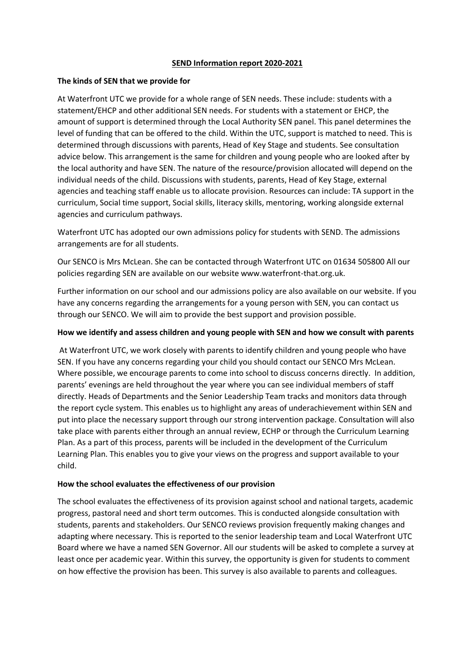#### **SEND Information report 2020-2021**

### **The kinds of SEN that we provide for**

At Waterfront UTC we provide for a whole range of SEN needs. These include: students with a statement/EHCP and other additional SEN needs. For students with a statement or EHCP, the amount of support is determined through the Local Authority SEN panel. This panel determines the level of funding that can be offered to the child. Within the UTC, support is matched to need. This is determined through discussions with parents, Head of Key Stage and students. See consultation advice below. This arrangement is the same for children and young people who are looked after by the local authority and have SEN. The nature of the resource/provision allocated will depend on the individual needs of the child. Discussions with students, parents, Head of Key Stage, external agencies and teaching staff enable us to allocate provision. Resources can include: TA support in the curriculum, Social time support, Social skills, literacy skills, mentoring, working alongside external agencies and curriculum pathways.

Waterfront UTC has adopted our own admissions policy for students with SEND. The admissions arrangements are for all students.

Our SENCO is Mrs McLean. She can be contacted through Waterfront UTC on 01634 505800 All our policies regarding SEN are available on our website www.waterfront-that.org.uk.

Further information on our school and our admissions policy are also available on our website. If you have any concerns regarding the arrangements for a young person with SEN, you can contact us through our SENCO. We will aim to provide the best support and provision possible.

### **How we identify and assess children and young people with SEN and how we consult with parents**

At Waterfront UTC, we work closely with parents to identify children and young people who have SEN. If you have any concerns regarding your child you should contact our SENCO Mrs McLean. Where possible, we encourage parents to come into school to discuss concerns directly. In addition, parents' evenings are held throughout the year where you can see individual members of staff directly. Heads of Departments and the Senior Leadership Team tracks and monitors data through the report cycle system. This enables us to highlight any areas of underachievement within SEN and put into place the necessary support through our strong intervention package. Consultation will also take place with parents either through an annual review, ECHP or through the Curriculum Learning Plan. As a part of this process, parents will be included in the development of the Curriculum Learning Plan. This enables you to give your views on the progress and support available to your child.

#### **How the school evaluates the effectiveness of our provision**

The school evaluates the effectiveness of its provision against school and national targets, academic progress, pastoral need and short term outcomes. This is conducted alongside consultation with students, parents and stakeholders. Our SENCO reviews provision frequently making changes and adapting where necessary. This is reported to the senior leadership team and Local Waterfront UTC Board where we have a named SEN Governor. All our students will be asked to complete a survey at least once per academic year. Within this survey, the opportunity is given for students to comment on how effective the provision has been. This survey is also available to parents and colleagues.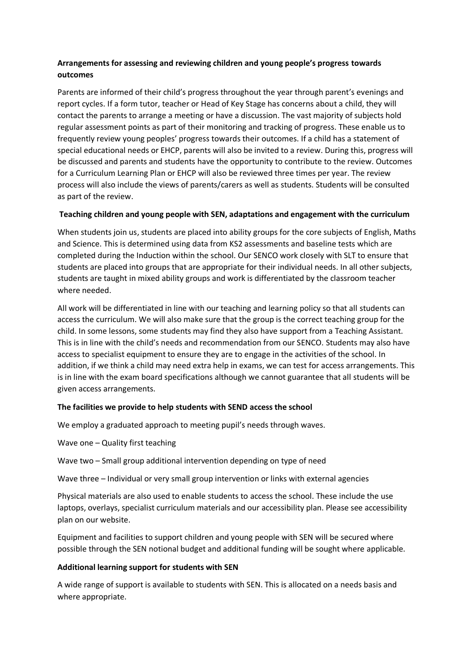# **Arrangements for assessing and reviewing children and young people's progress towards outcomes**

Parents are informed of their child's progress throughout the year through parent's evenings and report cycles. If a form tutor, teacher or Head of Key Stage has concerns about a child, they will contact the parents to arrange a meeting or have a discussion. The vast majority of subjects hold regular assessment points as part of their monitoring and tracking of progress. These enable us to frequently review young peoples' progress towards their outcomes. If a child has a statement of special educational needs or EHCP, parents will also be invited to a review. During this, progress will be discussed and parents and students have the opportunity to contribute to the review. Outcomes for a Curriculum Learning Plan or EHCP will also be reviewed three times per year. The review process will also include the views of parents/carers as well as students. Students will be consulted as part of the review.

## **Teaching children and young people with SEN, adaptations and engagement with the curriculum**

When students join us, students are placed into ability groups for the core subjects of English, Maths and Science. This is determined using data from KS2 assessments and baseline tests which are completed during the Induction within the school. Our SENCO work closely with SLT to ensure that students are placed into groups that are appropriate for their individual needs. In all other subjects, students are taught in mixed ability groups and work is differentiated by the classroom teacher where needed.

All work will be differentiated in line with our teaching and learning policy so that all students can access the curriculum. We will also make sure that the group is the correct teaching group for the child. In some lessons, some students may find they also have support from a Teaching Assistant. This is in line with the child's needs and recommendation from our SENCO. Students may also have access to specialist equipment to ensure they are to engage in the activities of the school. In addition, if we think a child may need extra help in exams, we can test for access arrangements. This is in line with the exam board specifications although we cannot guarantee that all students will be given access arrangements.

## **The facilities we provide to help students with SEND access the school**

We employ a graduated approach to meeting pupil's needs through waves.

Wave one – Quality first teaching

Wave two – Small group additional intervention depending on type of need

Wave three – Individual or very small group intervention or links with external agencies

Physical materials are also used to enable students to access the school. These include the use laptops, overlays, specialist curriculum materials and our accessibility plan. Please see accessibility plan on our website.

Equipment and facilities to support children and young people with SEN will be secured where possible through the SEN notional budget and additional funding will be sought where applicable.

## **Additional learning support for students with SEN**

A wide range of support is available to students with SEN. This is allocated on a needs basis and where appropriate.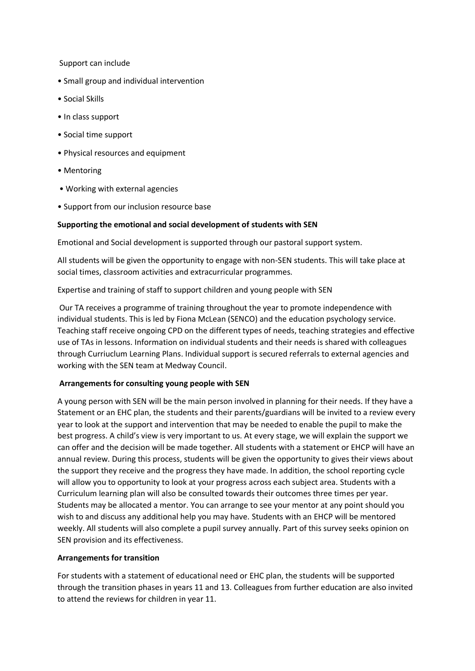Support can include

- Small group and individual intervention
- Social Skills
- In class support
- Social time support
- Physical resources and equipment
- Mentoring
- Working with external agencies
- Support from our inclusion resource base

### **Supporting the emotional and social development of students with SEN**

Emotional and Social development is supported through our pastoral support system.

All students will be given the opportunity to engage with non-SEN students. This will take place at social times, classroom activities and extracurricular programmes.

Expertise and training of staff to support children and young people with SEN

Our TA receives a programme of training throughout the year to promote independence with individual students. This is led by Fiona McLean (SENCO) and the education psychology service. Teaching staff receive ongoing CPD on the different types of needs, teaching strategies and effective use of TAs in lessons. Information on individual students and their needs is shared with colleagues through Curriuclum Learning Plans. Individual support is secured referrals to external agencies and working with the SEN team at Medway Council.

## **Arrangements for consulting young people with SEN**

A young person with SEN will be the main person involved in planning for their needs. If they have a Statement or an EHC plan, the students and their parents/guardians will be invited to a review every year to look at the support and intervention that may be needed to enable the pupil to make the best progress. A child's view is very important to us. At every stage, we will explain the support we can offer and the decision will be made together. All students with a statement or EHCP will have an annual review. During this process, students will be given the opportunity to gives their views about the support they receive and the progress they have made. In addition, the school reporting cycle will allow you to opportunity to look at your progress across each subject area. Students with a Curriculum learning plan will also be consulted towards their outcomes three times per year. Students may be allocated a mentor. You can arrange to see your mentor at any point should you wish to and discuss any additional help you may have. Students with an EHCP will be mentored weekly. All students will also complete a pupil survey annually. Part of this survey seeks opinion on SEN provision and its effectiveness.

#### **Arrangements for transition**

For students with a statement of educational need or EHC plan, the students will be supported through the transition phases in years 11 and 13. Colleagues from further education are also invited to attend the reviews for children in year 11.